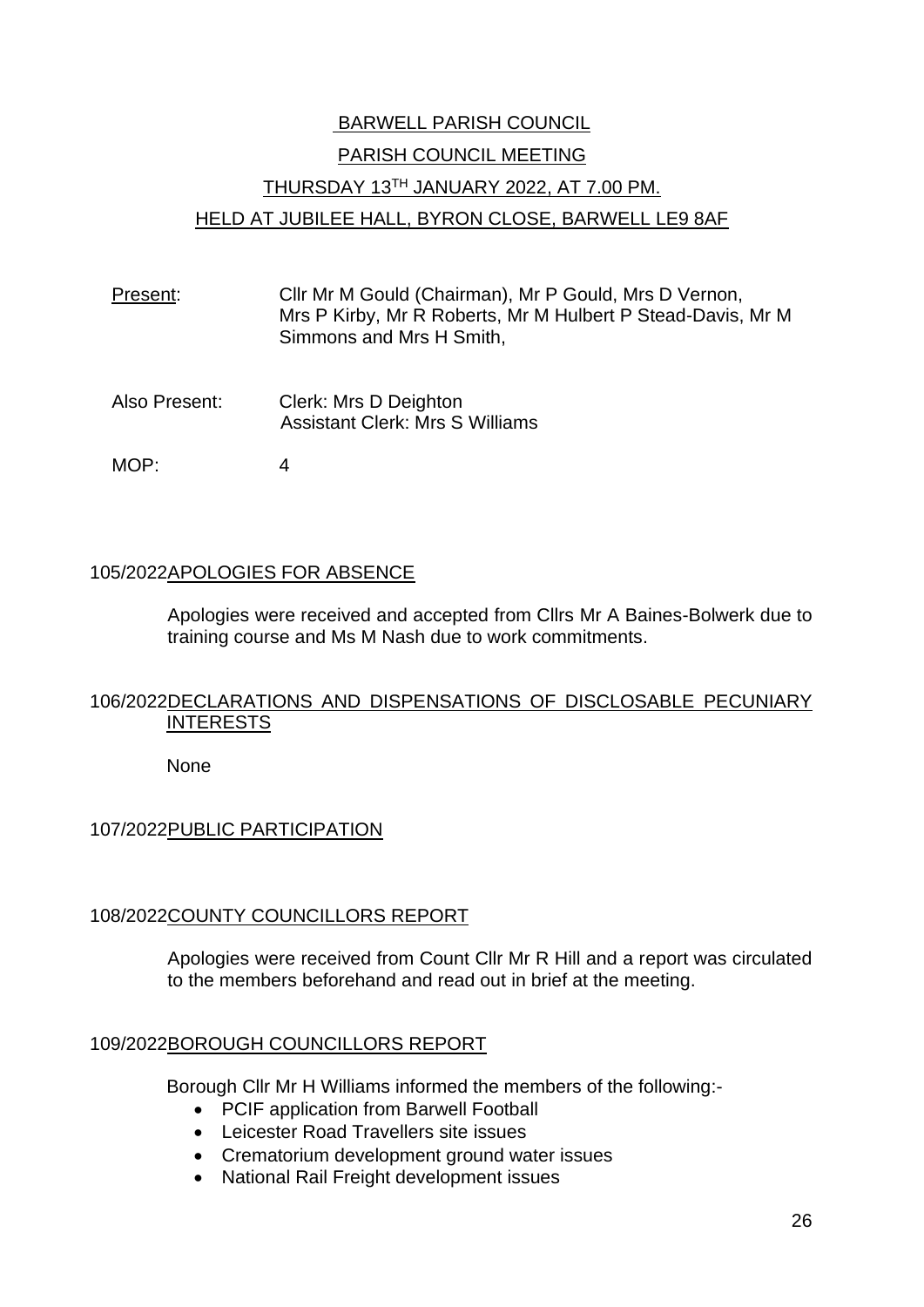# BARWELL PARISH COUNCIL PARISH COUNCIL MEETING THURSDAY 13TH JANUARY 2022, AT 7.00 PM. HELD AT JUBILEE HALL, BYRON CLOSE, BARWELL LE9 8AF

- Present: Cllr Mr M Gould (Chairman), Mr P Gould, Mrs D Vernon, Mrs P Kirby, Mr R Roberts, Mr M Hulbert P Stead-Davis, Mr M Simmons and Mrs H Smith,
- Also Present: Clerk: Mrs D Deighton Assistant Clerk: Mrs S Williams
- MOP: 4

# 105/2022APOLOGIES FOR ABSENCE

Apologies were received and accepted from Cllrs Mr A Baines-Bolwerk due to training course and Ms M Nash due to work commitments.

# 106/2022DECLARATIONS AND DISPENSATIONS OF DISCLOSABLE PECUNIARY **INTERESTS**

None

# 107/2022PUBLIC PARTICIPATION

# 108/2022COUNTY COUNCILLORS REPORT

Apologies were received from Count Cllr Mr R Hill and a report was circulated to the members beforehand and read out in brief at the meeting.

#### 109/2022BOROUGH COUNCILLORS REPORT

Borough Cllr Mr H Williams informed the members of the following:-

- PCIF application from Barwell Football
- Leicester Road Travellers site issues
- Crematorium development ground water issues
- National Rail Freight development issues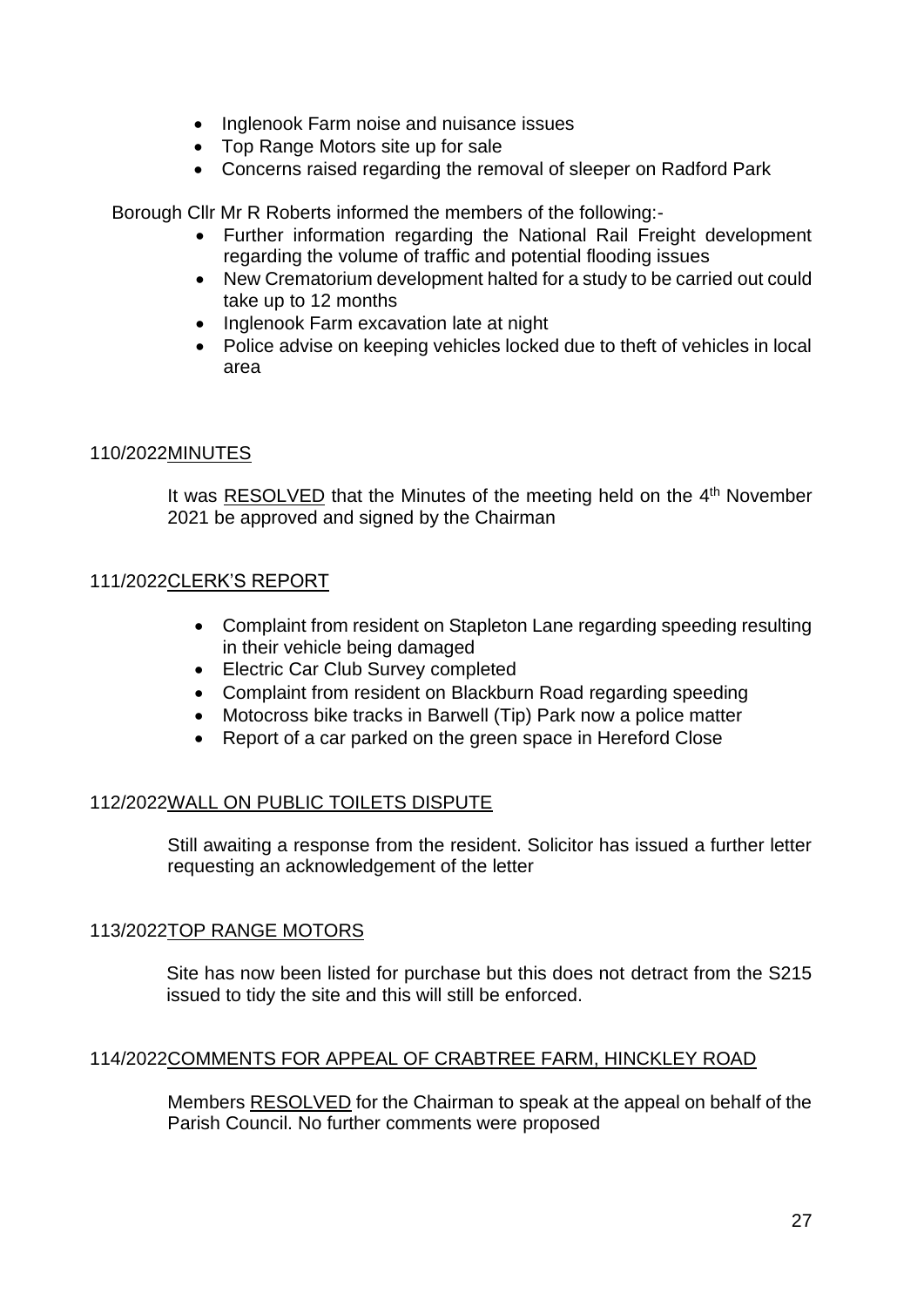- Inglenook Farm noise and nuisance issues
- Top Range Motors site up for sale
- Concerns raised regarding the removal of sleeper on Radford Park

Borough Cllr Mr R Roberts informed the members of the following:-

- Further information regarding the National Rail Freight development regarding the volume of traffic and potential flooding issues
- New Crematorium development halted for a study to be carried out could take up to 12 months
- Inglenook Farm excavation late at night
- Police advise on keeping vehicles locked due to theft of vehicles in local area

## 110/2022MINUTES

It was RESOLVED that the Minutes of the meeting held on the 4<sup>th</sup> November 2021 be approved and signed by the Chairman

## 111/2022CLERK'S REPORT

- Complaint from resident on Stapleton Lane regarding speeding resulting in their vehicle being damaged
- Electric Car Club Survey completed
- Complaint from resident on Blackburn Road regarding speeding
- Motocross bike tracks in Barwell (Tip) Park now a police matter
- Report of a car parked on the green space in Hereford Close

# 112/2022WALL ON PUBLIC TOILETS DISPUTE

Still awaiting a response from the resident. Solicitor has issued a further letter requesting an acknowledgement of the letter

#### 113/2022TOP RANGE MOTORS

Site has now been listed for purchase but this does not detract from the S215 issued to tidy the site and this will still be enforced.

#### 114/2022COMMENTS FOR APPEAL OF CRABTREE FARM, HINCKLEY ROAD

Members RESOLVED for the Chairman to speak at the appeal on behalf of the Parish Council. No further comments were proposed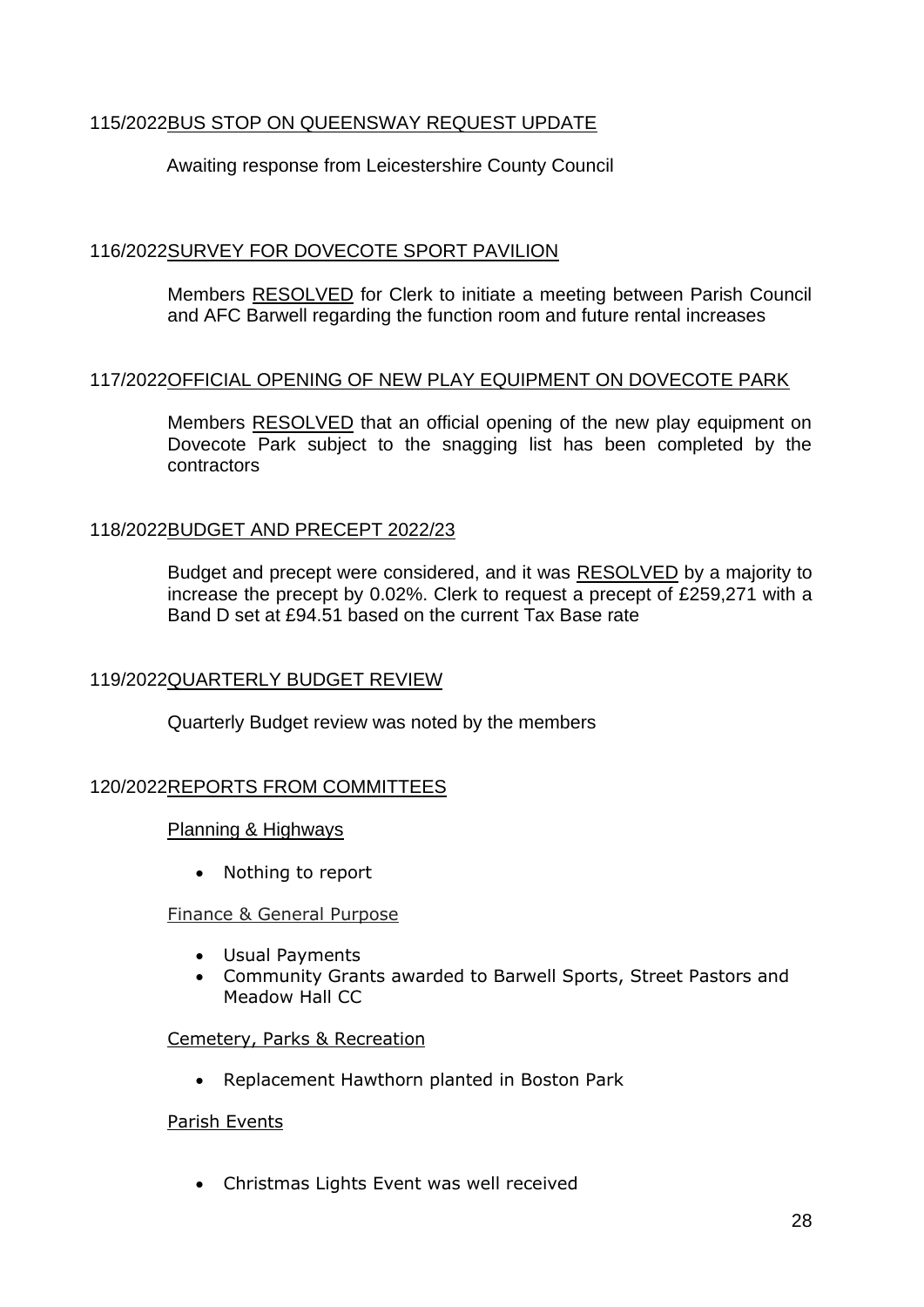# 115/2022BUS STOP ON QUEENSWAY REQUEST UPDATE

# Awaiting response from Leicestershire County Council

# 116/2022SURVEY FOR DOVECOTE SPORT PAVILION

Members RESOLVED for Clerk to initiate a meeting between Parish Council and AFC Barwell regarding the function room and future rental increases

#### 117/2022OFFICIAL OPENING OF NEW PLAY EQUIPMENT ON DOVECOTE PARK

Members RESOLVED that an official opening of the new play equipment on Dovecote Park subject to the snagging list has been completed by the contractors

## 118/2022BUDGET AND PRECEPT 2022/23

Budget and precept were considered, and it was RESOLVED by a majority to increase the precept by 0.02%. Clerk to request a precept of £259,271 with a Band D set at £94.51 based on the current Tax Base rate

#### 119/2022QUARTERLY BUDGET REVIEW

Quarterly Budget review was noted by the members

#### 120/2022REPORTS FROM COMMITTEES

#### Planning & Highways

• Nothing to report

#### Finance & General Purpose

- Usual Payments
- Community Grants awarded to Barwell Sports, Street Pastors and Meadow Hall CC

#### Cemetery, Parks & Recreation

• Replacement Hawthorn planted in Boston Park

#### Parish Events

• Christmas Lights Event was well received